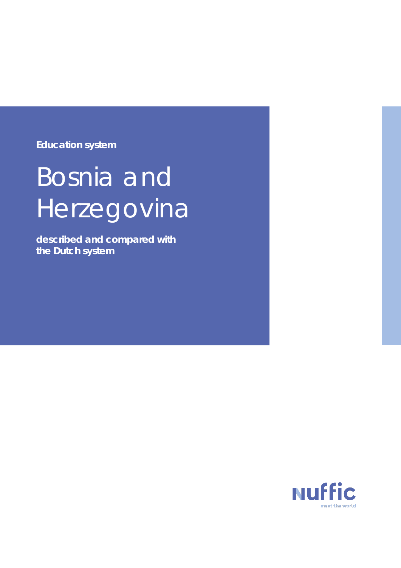**Education system**

# Bosnia and Herzegovina

**described and compared with the Dutch system** 

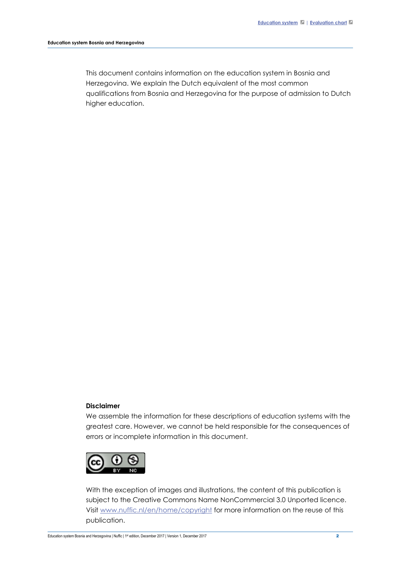This document contains information on the education system in Bosnia and Herzegovina. We explain the Dutch equivalent of the most common qualifications from Bosnia and Herzegovina for the purpose of admission to Dutch higher education.

#### **Disclaimer**

We assemble the information for these descriptions of education systems with the greatest care. However, we cannot be held responsible for the consequences of errors or incomplete information in this document.



With the exception of images and illustrations, the content of this publication is subject to the Creative Commons Name NonCommercial 3.0 Unported licence. Visit [www.nuffic.nl/en/home/copyright](http://www.nuffic.nl/en/home/copyright) for more information on the reuse of this publication.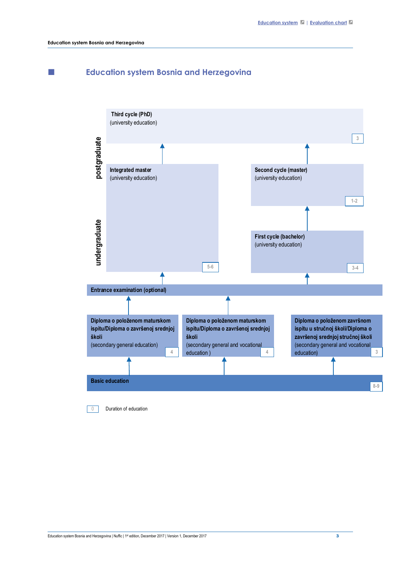<span id="page-2-0"></span>

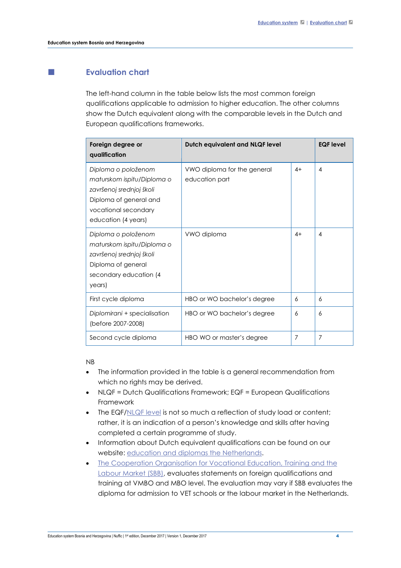# <span id="page-3-0"></span>**Evaluation chart**

The left-hand column in the table below lists the most common foreign qualifications applicable to admission to higher education. The other columns show the Dutch equivalent along with the comparable levels in the Dutch and European qualifications frameworks.

| Foreign degree or<br>qualification                                                                                                                     | Dutch equivalent and NLQF level               |      | <b>EQF</b> level |
|--------------------------------------------------------------------------------------------------------------------------------------------------------|-----------------------------------------------|------|------------------|
| Diploma o položenom<br>maturskom ispitu/Diploma o<br>završenoj srednjoj školi<br>Diploma of general and<br>vocational secondary<br>education (4 years) | VWO diploma for the general<br>education part | $4+$ | 4                |
| Diploma o položenom<br>maturskom ispitu/Diploma o<br>završenoj srednjoj školi<br>Diploma of general<br>secondary education (4<br>years)                | VWO diploma                                   | $4+$ | 4                |
| First cycle diploma                                                                                                                                    | HBO or WO bachelor's degree                   | 6    | 6                |
| Diplomirani + specialisation<br>(before 2007-2008)                                                                                                     | HBO or WO bachelor's degree                   | 6    | 6                |
| Second cycle diploma                                                                                                                                   | HBO WO or master's degree                     | 7    | 7                |

#### NB

- The information provided in the table is a general recommendation from which no rights may be derived.
- NLQF = Dutch Qualifications Framework; EQF = European Qualifications Framework
- The EQF[/NLQF level](http://www.nlqf.nl/english) is not so much a reflection of study load or content: rather, it is an indication of a person's knowledge and skills after having completed a certain programme of study.
- Information about Dutch equivalent qualifications can be found on our website: education [and diplomas the Netherlands.](https://www.nuffic.nl/en/subjects/education-and-diplomas-netherlands/)
- The Cooperation Organisation for Vocational Education, Training and the [Labour Market \(SBB\),](https://www.s-bb.nl/en) evaluates statements on foreign qualifications and training at VMBO and MBO level. The evaluation may vary if SBB evaluates the diploma for admission to VET schools or the labour market in the Netherlands.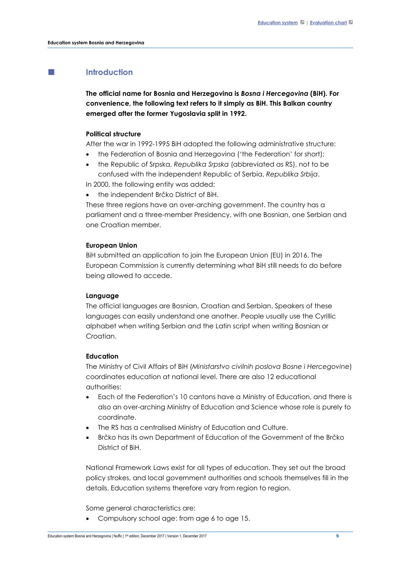# **Introduction**

**The official name for Bosnia and Herzegovina is** *Bosna i Hercegovina* **(BiH). For convenience, the following text refers to it simply as BiH. This Balkan country emerged after the former Yugoslavia split in 1992.** 

#### **Political structure**

After the war in 1992-1995 BiH adopted the following administrative structure:

- the Federation of Bosnia and Herzegovina ('the Federation' for short);
- the Republic of Srpska, *Republika Srpska* (abbreviated as RS), not to be confused with the independent Republic of Serbia, *Republika Srbija*.

In 2000, the following entity was added:

• the independent Brčko District of BiH.

These three regions have an over-arching government. The country has a parliament and a three-member Presidency, with one Bosnian, one Serbian and one Croatian member.

#### **European Union**

BiH submitted an application to join the European Union (EU) in 2016. The European Commission is currently determining what BiH still needs to do before being allowed to accede.

#### **Language**

The official languages are Bosnian, Croatian and Serbian. Speakers of these languages can easily understand one another. People usually use the Cyrillic alphabet when writing Serbian and the Latin script when writing Bosnian or Croatian.

## **Education**

The Ministry of Civil Affairs of BiH (*Ministarstvo civilnih poslova Bosne i Hercegovine*) coordinates education at national level. There are also 12 educational authorities:

- Each of the Federation's 10 cantons have a Ministry of Education, and there is also an over-arching Ministry of Education and Science whose role is purely to coordinate.
- The RS has a centralised Ministry of Education and Culture.
- Brčko has its own Department of Education of the Government of the Brčko District of BiH.

National Framework Laws exist for all types of education. They set out the broad policy strokes, and local government authorities and schools themselves fill in the details. Education systems therefore vary from region to region.

Some general characteristics are:

• Compulsory school age: from age 6 to age 15.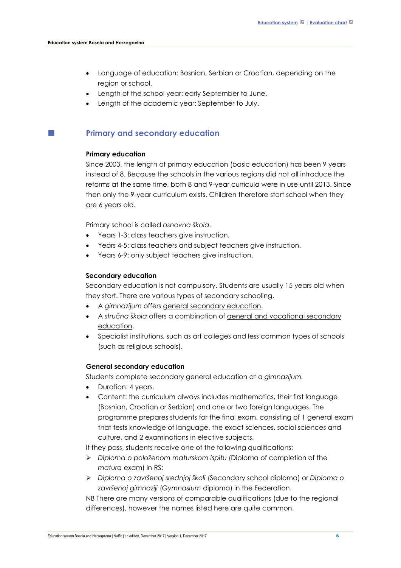- Language of education: Bosnian, Serbian or Croatian, depending on the region or school.
- Length of the school year: early September to June.
- Length of the academic year: September to July.

# **Primary and secondary education**

#### **Primary education**

Since 2003, the length of primary education (basic education) has been 9 years instead of 8. Because the schools in the various regions did not all introduce the reforms at the same time, both 8 and 9-year curricula were in use until 2013. Since then only the 9-year curriculum exists. Children therefore start school when they are 6 years old.

Primary school is called *osnovna škola*.

- Years 1-3: class teachers give instruction.
- Years 4-5: class teachers and subject teachers give instruction.
- Years 6-9: only subject teachers give instruction.

#### **Secondary education**

Secondary education is not compulsory. Students are usually 15 years old when they start. There are various types of secondary schooling.

- A *gimnazijum* offers general secondary education.
- A *stručna škola* offers a combination of general and vocational secondary education.
- Specialist institutions, such as art colleges and less common types of schools (such as religious schools).

## **General secondary education**

Students complete secondary general education at a *gimnazijum.*

- Duration: 4 years.
- Content: the curriculum always includes mathematics, their first language (Bosnian, Croatian or Serbian) and one or two foreign languages. The programme prepares students for the final exam, consisting of 1 general exam that tests knowledge of language, the exact sciences, social sciences and culture, and 2 examinations in elective subjects.

If they pass, students receive one of the following qualifications:

- *Diploma o položenom maturskom ispitu* (Diploma of completion of the *matura* exam) in RS;
- *Diploma o završenoj srednjoj školi* (Secondary school diploma) or *Diploma o završenoj gimnaziji* (*Gymnasium* diploma) in the Federation.

NB There are many versions of comparable qualifications (due to the regional differences), however the names listed here are quite common.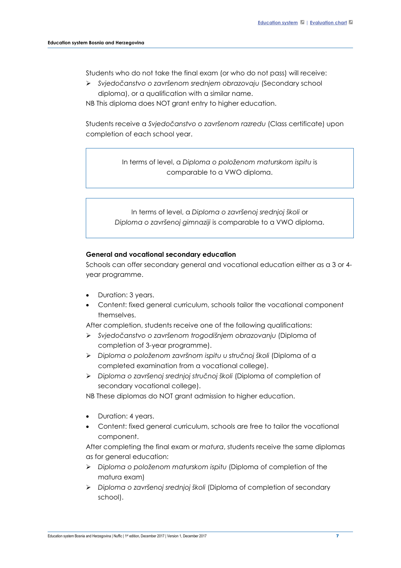Students who do not take the final exam (or who do not pass) will receive:

 *Svjedočanstvo o završenom srednjem obrazovaju* (Secondary school diploma), or a qualification with a similar name.

NB This diploma does NOT grant entry to higher education.

Students receive a *Svjedočanstvo o završenom razredu* (Class certificate) upon completion of each school year.

> In terms of level, a *Diploma o položenom maturskom ispitu* is comparable to a VWO diploma.

In terms of level, a *Diploma o završenoj srednjoj školi* or *Diploma o završenoj gimnaziji* is comparable to a VWO diploma.

## **General and vocational secondary education**

Schools can offer secondary general and vocational education either as a 3 or 4 year programme.

- Duration: 3 years.
- Content: fixed general curriculum, schools tailor the vocational component themselves.

After completion, students receive one of the following qualifications:

- *Svjedočanstvo o završenom trogodišnjem obrazovanju* (Diploma of completion of 3-year programme).
- *Diploma o položenom završnom ispitu u stručnoj školi* (Diploma of a completed examination from a vocational college).
- *Diploma o završenoj srednjoj stručnoj školi* (Diploma of completion of secondary vocational college).

NB These diplomas do NOT grant admission to higher education.

- Duration: 4 years.
- Content: fixed general curriculum, schools are free to tailor the vocational component.

After completing the final exam or *matura*, students receive the same diplomas as for general education:

- *Diploma o položenom maturskom ispitu* (Diploma of completion of the matura exam)
- *Diploma o završenoj srednjoj školi* (Diploma of completion of secondary school).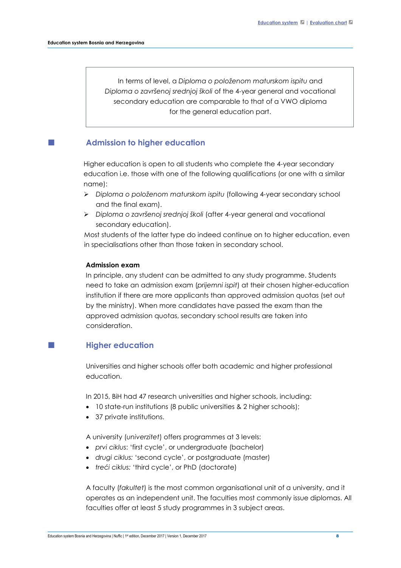In terms of level, a *Diploma o položenom maturskom ispitu* and *Diploma o završenoj srednjoj školi* of the 4-year general and vocational secondary education are comparable to that of a VWO diploma for the general education part.

## **Admission to higher education**

Higher education is open to all students who complete the 4-year secondary education i.e. those with one of the following qualifications (or one with a similar name):

- *Diploma o položenom maturskom ispitu* (following 4-year secondary school and the final exam).
- *Diploma o završenoj srednjoj školi* (after 4-year general and vocational secondary education).

Most students of the latter type do indeed continue on to higher education, even in specialisations other than those taken in secondary school.

#### **Admission exam**

In principle, any student can be admitted to any study programme. Students need to take an admission exam (*prijemni ispit*) at their chosen higher-education institution if there are more applicants than approved admission quotas (set out by the ministry). When more candidates have passed the exam than the approved admission quotas, secondary school results are taken into consideration.

# **Higher education**

Universities and higher schools offer both academic and higher professional education.

In 2015, BiH had 47 research universities and higher schools, including:

- 10 state-run institutions (8 public universities & 2 higher schools);
- 37 private institutions.

A university (*univerzitet*) offers programmes at 3 levels:

- *prvi ciklus*: 'first cycle', or undergraduate (bachelor)
- *drugi ciklus:* 'second cycle', or postgraduate (master)
- *treći ciklus:* 'third cycle', or PhD (doctorate)

A faculty (*fakultet*) is the most common organisational unit of a university, and it operates as an independent unit. The faculties most commonly issue diplomas. All faculties offer at least 5 study programmes in 3 subject areas.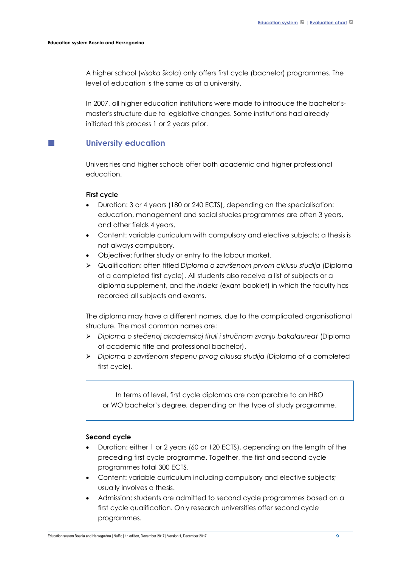A higher school (*visoka škola*) only offers first cycle (bachelor) programmes. The level of education is the same as at a university.

In 2007, all higher education institutions were made to introduce the bachelor'smaster's structure due to legislative changes. Some institutions had already initiated this process 1 or 2 years prior.

## **University education**

Universities and higher schools offer both academic and higher professional education.

#### **First cycle**

- Duration: 3 or 4 years (180 or 240 ECTS), depending on the specialisation: education, management and social studies programmes are often 3 years, and other fields 4 years.
- Content: variable curriculum with compulsory and elective subjects; a thesis is not always compulsory.
- Objective: further study or entry to the labour market.
- Qualification: often titled *Diploma o završenom prvom ciklusu studija* (Diploma of a completed first cycle). All students also receive a list of subjects or a diploma supplement, and the *indeks* (exam booklet) in which the faculty has recorded all subjects and exams.

The diploma may have a different names, due to the complicated organisational structure. The most common names are:

- *Diploma o stečenoj akademskoj tituli i stručnom zvanju bakalaureat* (Diploma of academic title and professional bachelor).
- *Diploma o završenom stepenu prvog ciklusa studija* (Diploma of a completed first cycle).

In terms of level, first cycle diplomas are comparable to an HBO or WO bachelor's degree, depending on the type of study programme.

#### **Second cycle**

- Duration: either 1 or 2 years (60 or 120 ECTS), depending on the length of the preceding first cycle programme. Together, the first and second cycle programmes total 300 ECTS.
- Content: variable curriculum including compulsory and elective subjects; usually involves a thesis.
- Admission: students are admitted to second cycle programmes based on a first cycle qualification. Only research universities offer second cycle programmes.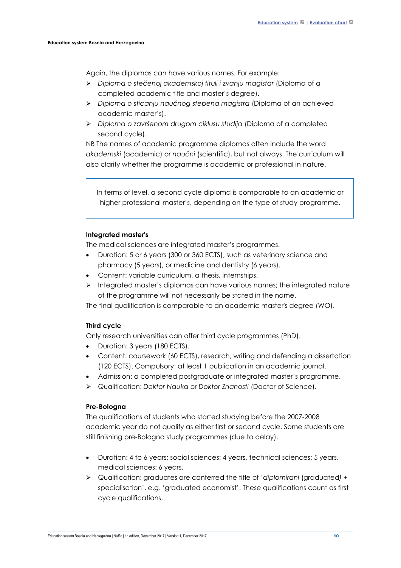Again, the diplomas can have various names. For example:

- *Diploma o stečenoj akademskoj tituli i zvanju magistar* (Diploma of a completed academic title and master's degree).
- *Diploma o sticanju naučnog stepena magistra* (Diploma of an achieved academic master's).
- *Diploma o završenom drugom ciklusu studija* (Diploma of a completed second cycle).

NB The names of academic programme diplomas often include the word *akademski* (academic) or *naučni* (scientific), but not always. The curriculum will also clarify whether the programme is academic or professional in nature.

In terms of level, a second cycle diploma is comparable to an academic or higher professional master's, depending on the type of study programme.

## **Integrated master's**

The medical sciences are integrated master's programmes.

- Duration: 5 or 6 years (300 or 360 ECTS), such as veterinary science and pharmacy (5 years), or medicine and dentistry (6 years).
- Content: variable curriculum, a thesis, internships.
- Integrated master's diplomas can have various names; the integrated nature of the programme will not necessarily be stated in the name.

The final qualification is comparable to an academic master's degree (WO).

## **Third cycle**

Only research universities can offer third cycle programmes (PhD).

- Duration: 3 years (180 ECTS).
- Content: coursework (60 ECTS), research, writing and defending a dissertation (120 ECTS). Compulsory: at least 1 publication in an academic journal.
- Admission: a completed postgraduate or integrated master's programme.
- Qualification: *Doktor Nauka* or *Doktor Znanosti* (Doctor of Science).

#### **Pre-Bologna**

The qualifications of students who started studying before the 2007-2008 academic year do not qualify as either first or second cycle. Some students are still finishing pre-Bologna study programmes (due to delay).

- Duration: 4 to 6 years; social sciences: 4 years, technical sciences: 5 years, medical sciences: 6 years.
- Qualification: graduates are conferred the title of '*diplomirani* (graduated*)* + specialisation', e.g. 'graduated economist'. These qualifications count as first cycle qualifications.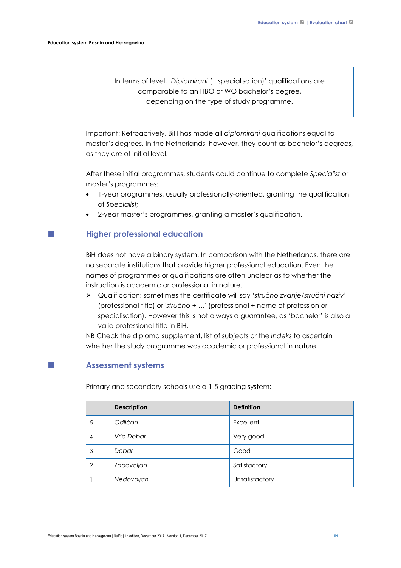In terms of level, '*Diplomirani* (+ specialisation)' qualifications are comparable to an HBO or WO bachelor's degree, depending on the type of study programme.

Important: Retroactively, BiH has made all *diplomirani* qualifications equal to master's degrees. In the Netherlands, however, they count as bachelor's degrees, as they are of initial level.

After these initial programmes, students could continue to complete *Specialist* or master's programmes:

- 1-year programmes, usually professionally-oriented, granting the qualification of *Specialist;*
- 2-year master's programmes, granting a master's qualification.

# **Higher professional education**

BiH does not have a binary system. In comparison with the Netherlands, there are no separate institutions that provide higher professional education. Even the names of programmes or qualifications are often unclear as to whether the instruction is academic or professional in nature.

 Qualification: sometimes the certificate will say '*stručno zvanje/stručni naziv*' (professional title) or '*stručno + …*' (professional + name of profession or specialisation). However this is not always a guarantee, as 'bachelor' is also a valid professional title in BiH.

NB Check the diploma supplement, list of subjects or the *indeks* to ascertain whether the study programme was academic or professional in nature.

# **Assessment systems**

Primary and secondary schools use a 1-5 grading system:

|   | <b>Description</b> | <b>Definition</b> |
|---|--------------------|-------------------|
| 5 | Odličan            | Excellent         |
| 4 | Vrlo Dobar         | Very good         |
| 3 | Dobar              | Good              |
| 2 | Zadovoljan         | Satisfactory      |
|   | Nedovoljan         | Unsatisfactory    |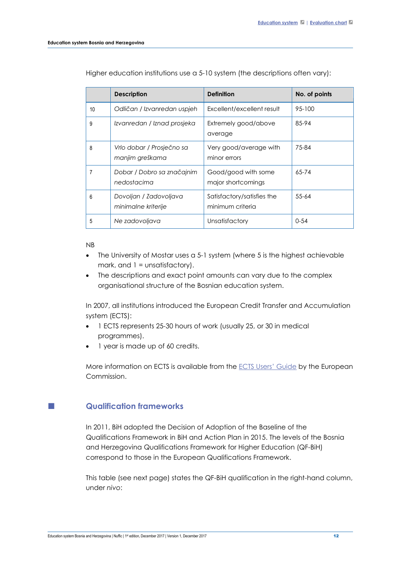|    | <b>Description</b>                            | <b>Definition</b>                              | No. of points |
|----|-----------------------------------------------|------------------------------------------------|---------------|
| 10 | Odličan / Izvanredan uspjeh                   | Excellent/excellent result                     | 95-100        |
| 9  | Izvanredan / Iznad prosjeka                   | Extremely good/above<br>average                | 85-94         |
| 8  | Vrlo dobar / Prosječno sa<br>manjim greškama  | Very good/average with<br>minor errors         | 75-84         |
|    | Dobar / Dobro sa značajnim<br>nedostacima     | Good/good with some<br>major shortcomings      | $65 - 74$     |
| 6  | Dovoljan / Zadovoljava<br>minimalne kriterije | Satisfactory/satisfies the<br>minimum criteria | $55 - 64$     |
| 5  | Ne zadovoljava                                | Unsatisfactory                                 | $0 - 54$      |

Higher education institutions use a 5-10 system (the descriptions often vary):

NB

- The University of Mostar uses a 5-1 system (where 5 is the highest achievable mark, and  $1 =$  unsatisfactory).
- The descriptions and exact point amounts can vary due to the complex organisational structure of the Bosnian education system.

In 2007, all institutions introduced the European Credit Transfer and Accumulation system (ECTS):

- 1 ECTS represents 25-30 hours of work (usually 25, or 30 in medical programmes).
- 1 year is made up of 60 credits.

More information on ECTS is available from the [ECTS Users' Guide](https://ec.europa.eu/education/sites/education/files/ects-users-guide_en.pdf) by the European Commission.

## **Qualification frameworks**

In 2011, BiH adopted the Decision of Adoption of the Baseline of the Qualifications Framework in BiH and Action Plan in 2015. The levels of the Bosnia and Herzegovina Qualifications Framework for Higher Education (QF-BiH) correspond to those in the European Qualifications Framework.

This table (see next page) states the QF-BiH qualification in the right-hand column, under *nivo*: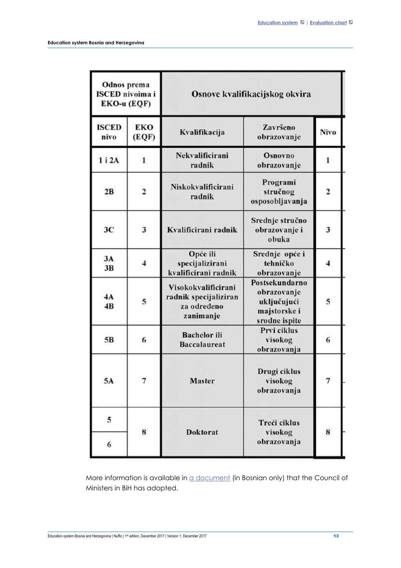| Odnos prema<br><b>ISCED</b> nivoima i<br>EKO-u (EQF) |                         | Osnove kvalifikacijskog okvira                                           |                                                                               |                         |
|------------------------------------------------------|-------------------------|--------------------------------------------------------------------------|-------------------------------------------------------------------------------|-------------------------|
| <b>ISCED</b><br>nivo                                 | <b>EKO</b><br>(EQF)     | Kvalifikacija                                                            | Završeno<br>obrazovanje                                                       | <b>Nivo</b>             |
| 1 i 2A                                               | $\mathbf{1}$            | Nekvalificirani<br>radnik                                                | Osnovno<br>obrazovanje                                                        | $\mathbf{1}$            |
| 2B                                                   | $\overline{2}$          | Niskokvalificirani<br>radnik                                             | Programi<br>stručnog<br>osposobljavanja                                       | $\overline{\mathbf{c}}$ |
| 3C                                                   | 3                       | Kvalificirani radnik                                                     | Srednje stručno<br>obrazovanje i<br>obuka                                     | 3                       |
| 3A<br>3B                                             | $\overline{\mathbf{4}}$ | Opće ili<br>specijalizirani<br>kvalificirani radnik                      | Srednje opće i<br>tehničko<br>obrazovanje                                     | $\overline{\mathbf{4}}$ |
| 4A<br>4B                                             | 5                       | Visokokvalificirani<br>radnik specijaliziran<br>za određeno<br>zanimanje | Postsekundarno<br>obrazovanje<br>uključujući<br>majstorske i<br>srodne ispite | 5                       |
| 5B                                                   | 6                       | <b>Bachelor</b> ili<br><b>Baccalaureat</b>                               | Prvi ciklus<br>visokog<br>obrazovanja                                         | 6                       |
| 5A                                                   | 7                       | <b>Master</b>                                                            | Drugi ciklus<br>visokog<br>obrazovanja                                        | 7                       |
| 5                                                    | 8                       | <b>Doktorat</b>                                                          | <b>Treći ciklus</b><br>visokog                                                | 8                       |
| 6                                                    |                         |                                                                          | obrazovanja                                                                   |                         |

More information is available in  $a$  document (in Bosnian only) that the Council of Ministers in BiH has adopted.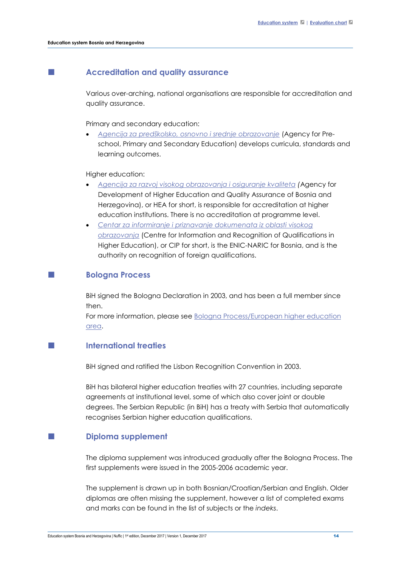# **Accreditation and quality assurance**

Various over-arching, national organisations are responsible for accreditation and quality assurance.

Primary and secondary education:

• *Agencija za predškolsko, [osnovno i srednje obrazovanje](http://www.aposo.gov.ba/en)* (Agency for Preschool, Primary and Secondary Education) develops curricula, standards and learning outcomes.

Higher education:

- *[Agencija za razvoj visokog obrazovanja i osiguranje kvaliteta](http://hea.gov.ba/Home.aspx?pageIndex=1) (*Agency for Development of Higher Education and Quality Assurance of Bosnia and Herzegovina), or HEA for short, is responsible for accreditation at higher education institutions. There is no accreditation at programme level.
- *[Centar za informiranje i priznavanje dokumenata iz oblasti visokog](http://www.cip.gov.ba/en)  [obrazovanja](http://www.cip.gov.ba/en)* (Centre for Information and Recognition of Qualifications in Higher Education), or CIP for short, is the ENIC-NARIC for Bosnia, and is the authority on recognition of foreign qualifications.

## **Bologna Process**

BiH signed the Bologna Declaration in 2003, and has been a full member since then.

For more information, please see [Bologna Process/European higher education](http://www.ehea.info/pid34250-cid101109/bosnia-and-herzegovina.html.)  [area.](http://www.ehea.info/pid34250-cid101109/bosnia-and-herzegovina.html.)

# **International treaties**

BiH signed and ratified the Lisbon Recognition Convention in 2003.

BiH has bilateral higher education treaties with 27 countries, including separate agreements at institutional level, some of which also cover joint or double degrees. The Serbian Republic (in BiH) has a treaty with Serbia that automatically recognises Serbian higher education qualifications.

## **Diploma supplement**

The diploma supplement was introduced gradually after the Bologna Process. The first supplements were issued in the 2005-2006 academic year.

The supplement is drawn up in both Bosnian/Croatian/Serbian and English. Older diplomas are often missing the supplement, however a list of completed exams and marks can be found in the list of subjects or the *indeks*.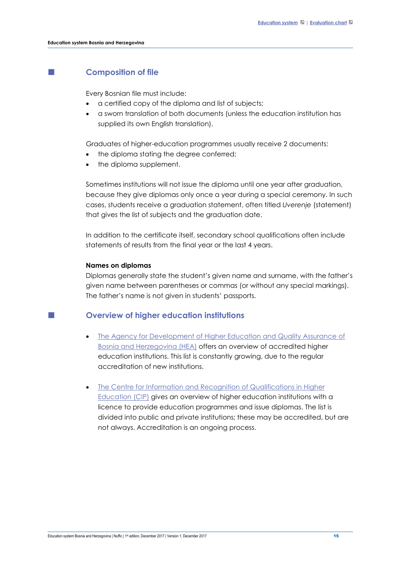# **Composition of file**

Every Bosnian file must include:

- a certified copy of the diploma and list of subjects;
- a sworn translation of both documents (unless the education institution has supplied its own English translation).

Graduates of higher-education programmes usually receive 2 documents:

- the diploma stating the degree conferred;
- the diploma supplement.

Sometimes institutions will not issue the diploma until one year after graduation, because they give diplomas only once a year during a special ceremony. In such cases, students receive a graduation statement, often titled *Uverenje* (statement) that gives the list of subjects and the graduation date.

In addition to the certificate itself, secondary school qualifications often include statements of results from the final year or the last 4 years.

## **Names on diplomas**

Diplomas generally state the student's given name and surname, with the father's given name between parentheses or commas (or without any special markings). The father's name is not given in students' passports.

# **Overview of higher education institutions**

- [The Agency for Development of Higher Education and Quality Assurance of](http://hea.gov.ba/akreditacija_vsu/Default.aspx)  [Bosnia and Herzegovina \(HEA\)](http://hea.gov.ba/akreditacija_vsu/Default.aspx) offers an overview of accredited higher education institutions. This list is constantly growing, due to the regular accreditation of new institutions.
- The Centre for Information and Recognition of Qualifications in Higher [Education \(CIP\)](http://www.cip.gov.ba/index.php/en/higher-education-institutions) gives an overview of higher education institutions with a licence to provide education programmes and issue diplomas. The list is divided into public and private institutions; these may be accredited, but are not always. Accreditation is an ongoing process.